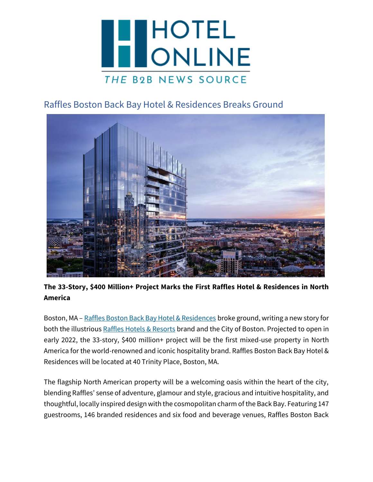

## Raffles Boston Back Bay Hotel & Residences Breaks Ground



**The 33-Story, \$400 Million+ Project Marks the First Raffles Hotel & Residences in North America**

Boston, MA – [Raffles Boston Back Bay Hotel & Residences](http://www.raffles.com/promo/boston/) broke ground, writing a new story for both the illustrious [Raffles Hotels & Resorts](https://www.raffles.com/) brand and the City of Boston. Projected to open in early 2022, the 33-story, \$400 million+ project will be the first mixed-use property in North America for the world-renowned and iconic hospitality brand. Raffles Boston Back Bay Hotel & Residences will be located at 40 Trinity Place, Boston, MA.

The flagship North American property will be a welcoming oasis within the heart of the city, blending Raffles' sense of adventure, glamour and style, gracious and intuitive hospitality, and thoughtful, locally inspired design with the cosmopolitan charm of the Back Bay. Featuring 147 guestrooms, 146 branded residences and six food and beverage venues, Raffles Boston Back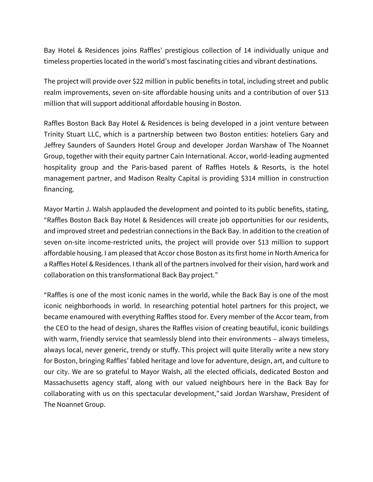Bay Hotel & Residences joins Raffles' prestigious collection of 14 individually unique and timeless properties located in the world's most fascinating cities and vibrant destinations.

The project will provide over \$22 million in public benefits in total, including street and public realm improvements, seven on-site affordable housing units and a contribution of over \$13 million that will support additional affordable housing in Boston.

Raffles Boston Back Bay Hotel & Residences is being developed in a joint venture between Trinity Stuart LLC, which is a partnership between two Boston entities: hoteliers Gary and Jeffrey Saunders of Saunders Hotel Group and developer Jordan Warshaw of The Noannet Group, together with their equity partner Cain International. Accor, world-leading augmented hospitality group and the Paris-based parent of Raffles Hotels & Resorts, is the hotel management partner, and Madison Realty Capital is providing \$314 million in construction financing.

Mayor Martin J. Walsh applauded the development and pointed to its public benefits, stating, "Raffles Boston Back Bay Hotel & Residences will create job opportunities for our residents, and improved street and pedestrian connections in the Back Bay. In addition to the creation of seven on-site income-restricted units, the project will provide over \$13 million to support affordable housing. I am pleased that Accor chose Boston as its first home in North America for a Raffles Hotel & Residences. I thank all of the partners involved for their vision, hard work and collaboration on this transformational Back Bay project."

"Raffles is one of the most iconic names in the world, while the Back Bay is one of the most iconic neighborhoods in world. In researching potential hotel partners for this project, we became enamoured with everything Raffles stood for. Every member of the Accor team, from the CEO to the head of design, shares the Raffles vision of creating beautiful, iconic buildings with warm, friendly service that seamlessly blend into their environments – always timeless, always local, never generic, trendy or stuffy. This project will quite literally write a new story for Boston, bringing Raffles' fabled heritage and love for adventure, design, art, and culture to our city. We are so grateful to Mayor Walsh, all the elected officials, dedicated Boston and Massachusetts agency staff, along with our valued neighbours here in the Back Bay for collaborating with us on this spectacular development," said Jordan Warshaw, President of The Noannet Group.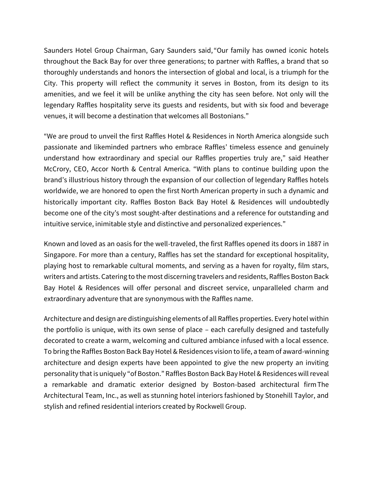Saunders Hotel Group Chairman, Gary Saunders said, "Our family has owned iconic hotels throughout the Back Bay for over three generations; to partner with Raffles, a brand that so thoroughly understands and honors the intersection of global and local, is a triumph for the City. This property will reflect the community it serves in Boston, from its design to its amenities, and we feel it will be unlike anything the city has seen before. Not only will the legendary Raffles hospitality serve its guests and residents, but with six food and beverage venues, it will become a destination that welcomes all Bostonians."

"We are proud to unveil the first Raffles Hotel & Residences in North America alongside such passionate and likeminded partners who embrace Raffles' timeless essence and genuinely understand how extraordinary and special our Raffles properties truly are," said Heather McCrory, CEO, Accor North & Central America. "With plans to continue building upon the brand's illustrious history through the expansion of our collection of legendary Raffles hotels worldwide, we are honored to open the first North American property in such a dynamic and historically important city. Raffles Boston Back Bay Hotel & Residences will undoubtedly become one of the city's most sought-after destinations and a reference for outstanding and intuitive service, inimitable style and distinctive and personalized experiences."

Known and loved as an oasis for the well-traveled, the first Raffles opened its doors in 1887 in Singapore. For more than a century, Raffles has set the standard for exceptional hospitality, playing host to remarkable cultural moments, and serving as a haven for royalty, film stars, writers and artists. Catering to the most discerning travelers and residents, Raffles Boston Back Bay Hotel & Residences will offer personal and discreet service, unparalleled charm and extraordinary adventure that are synonymous with the Raffles name.

Architecture and design are distinguishing elements of all Raffles properties. Every hotel within the portfolio is unique, with its own sense of place – each carefully designed and tastefully decorated to create a warm, welcoming and cultured ambiance infused with a local essence. To bring the Raffles Boston Back Bay Hotel & Residences vision to life, a team of award-winning architecture and design experts have been appointed to give the new property an inviting personality that is uniquely "of Boston." Raffles Boston Back Bay Hotel & Residences will reveal a remarkable and dramatic exterior designed by Boston-based architectural firm The Architectural Team, Inc., as well as stunning hotel interiors fashioned by Stonehill Taylor, and stylish and refined residential interiors created by Rockwell Group.